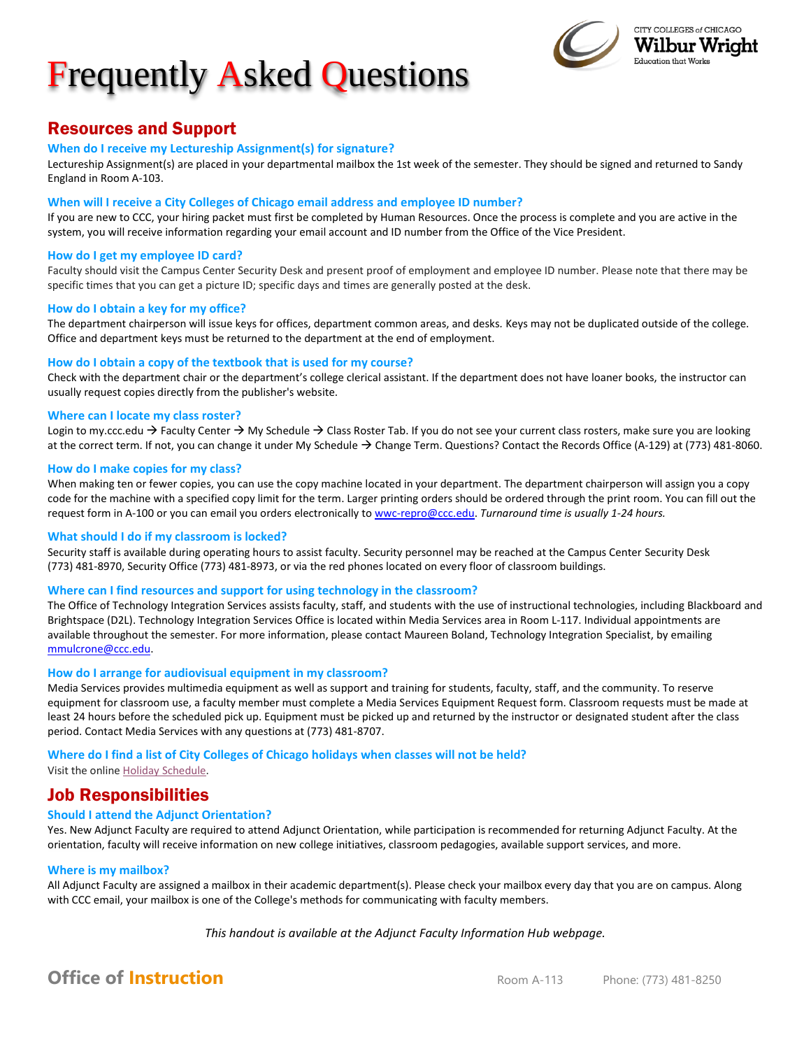# Frequently Asked Questions



## Resources and Support

### **When do I receive my Lectureship Assignment(s) for signature?**

Lectureship Assignment(s) are placed in your departmental mailbox the 1st week of the semester. They should be signed and returned to Sandy England in Room A-103.

### **When will I receive a City Colleges of Chicago email address and employee ID number?**

If you are new to CCC, your hiring packet must first be completed by Human Resources. Once the process is complete and you are active in the system, you will receive information regarding your email account and ID number from the Office of the Vice President.

### **How do I get my employee ID card?**

Faculty should visit the Campus Center Security Desk and present proof of employment and employee ID number. Please note that there may be specific times that you can get a picture ID; specific days and times are generally posted at the desk.

### **How do I obtain a key for my office?**

The department chairperson will issue keys for offices, department common areas, and desks*.* Keys may not be duplicated outside of the college. Office and department keys must be returned to the department at the end of employment.

### **How do I obtain a copy of the textbook that is used for my course?**

Check with the department chair or the department's college clerical assistant. If the department does not have loaner books, the instructor can usually request copies directly from the publisher's website.

### **Where can I locate my class roster?**

Login to my.ccc.edu  $\rightarrow$  Faculty Center  $\rightarrow$  My Schedule  $\rightarrow$  Class Roster Tab. If you do not see your current class rosters, make sure you are looking at the correct term. If not, you can change it under My Schedule  $\rightarrow$  Change Term. Questions? Contact the Records Office (A-129) at (773) 481-8060.

### **How do I make copies for my class?**

When making ten or fewer copies, you can use the copy machine located in your department. The department chairperson will assign you a copy code for the machine with a specified copy limit for the term. Larger printing orders should be ordered through the print room. You can fill out the request form in A-100 or you can email you orders electronically t[o wwc-repro@ccc.edu.](mailto:wwc-repro@ccc.edu) *Turnaround time is usually 1-24 hours.*

### **What should I do if my classroom is locked?**

Security staff is available during operating hours to assist faculty. Security personnel may be reached at the Campus Center Security Desk (773) 481-8970, Security Office (773) 481-8973, or via the red phones located on every floor of classroom buildings.

### **Where can I find resources and support for using technology in the classroom?**

The Office of Technology Integration Services assists faculty, staff, and students with the use of instructional technologies, including Blackboard and Brightspace (D2L). Technology Integration Services Office is located within Media Services area in Room L-117. Individual appointments are available throughout the semester. For more information, please contact Maureen Boland, Technology Integration Specialist, by emailing [mmulcrone@ccc.edu.](mailto:mmulcrone@ccc.edu) 

### **How do I arrange for audiovisual equipment in my classroom?**

Media Services provides multimedia equipment as well as support and training for students, faculty, staff, and the community. To reserve equipment for classroom use, a faculty member must complete a Media Services Equipment Request form. Classroom requests must be made at least 24 hours before the scheduled pick up. Equipment must be picked up and returned by the instructor or designated student after the class period. Contact Media Services with any questions at (773) 481-8707.

### **Where do I find a list of City Colleges of Chicago holidays when classes will not be held?**

Visit the online Holiday [Schedule.](http://www.ccc.edu/departments/Pages/Holiday-Schedule.aspx)

### Job Responsibilities

### **Should I attend the Adjunct Orientation?**

Yes. New Adjunct Faculty are required to attend Adjunct Orientation, while participation is recommended for returning Adjunct Faculty. At the orientation, faculty will receive information on new college initiatives, classroom pedagogies, available support services, and more.

### **Where is my mailbox?**

All Adjunct Faculty are assigned a mailbox in their academic department(s). Please check your mailbox every day that you are on campus. Along with CCC email, your mailbox is one of the College's methods for communicating with faculty members.

*This handout is available at the Adjunct Faculty Information Hub webpage.*

## **Office of Instruction**<br> **Com** A-113 Phone: (773) 481-8250